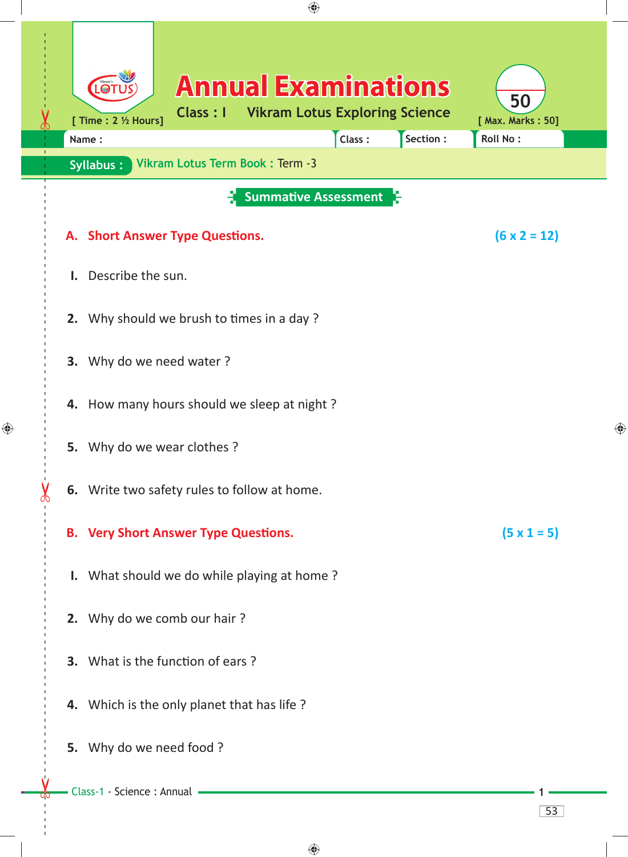| ⊕ |                                                                                                                                                                                                                   |                                     |   |  |
|---|-------------------------------------------------------------------------------------------------------------------------------------------------------------------------------------------------------------------|-------------------------------------|---|--|
|   | <b>Annual Examinations</b><br>LOT<br><b>Vikram Lotus Exploring Science</b><br>Class : I<br>[ Time : $2 \frac{1}{2}$ Hours]<br>Section :<br>Class:<br>Name:<br>Vikram Lotus Term Book: Term -3<br><b>Syllabus:</b> | 50<br>[ Max. Marks: 50]<br>Roll No: |   |  |
|   | <b>Summative Assessment</b>                                                                                                                                                                                       |                                     |   |  |
|   | A. Short Answer Type Questions.                                                                                                                                                                                   | $(6 \times 2 = 12)$                 |   |  |
|   | Describe the sun.<br>$\mathbf{L}$                                                                                                                                                                                 |                                     |   |  |
|   | 2. Why should we brush to times in a day?                                                                                                                                                                         |                                     |   |  |
|   |                                                                                                                                                                                                                   |                                     |   |  |
|   | 3. Why do we need water ?                                                                                                                                                                                         |                                     |   |  |
|   | 4. How many hours should we sleep at night?                                                                                                                                                                       |                                     |   |  |
|   | 5. Why do we wear clothes?                                                                                                                                                                                        |                                     | ⊕ |  |
|   | 6. Write two safety rules to follow at home.                                                                                                                                                                      |                                     |   |  |
|   | <b>B. Very Short Answer Type Questions.</b>                                                                                                                                                                       | $(5 \times 1 = 5)$                  |   |  |
|   | I. What should we do while playing at home?                                                                                                                                                                       |                                     |   |  |
|   | 2. Why do we comb our hair?                                                                                                                                                                                       |                                     |   |  |
|   | 3. What is the function of ears?                                                                                                                                                                                  |                                     |   |  |
|   | 4. Which is the only planet that has life?                                                                                                                                                                        |                                     |   |  |
|   | 5. Why do we need food ?                                                                                                                                                                                          |                                     |   |  |
|   | Class-1 - Science : Annual                                                                                                                                                                                        |                                     |   |  |
|   |                                                                                                                                                                                                                   | 53                                  |   |  |

 $\bigoplus$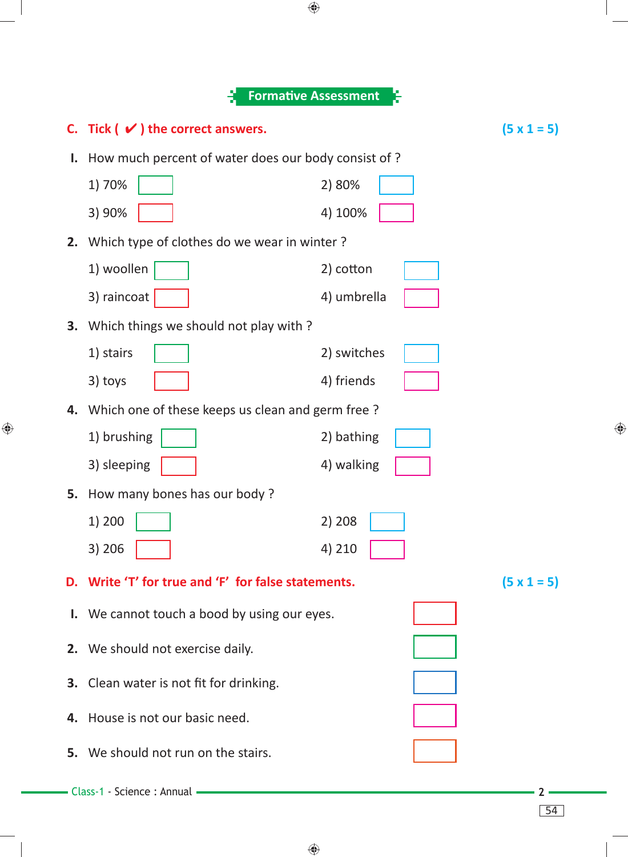|                                                        | <b>Formative Assessment</b>                         |                    |  |
|--------------------------------------------------------|-----------------------------------------------------|--------------------|--|
| C. Tick $(\vee)$ the correct answers.                  |                                                     | $(5 \times 1 = 5)$ |  |
| Ι.                                                     | How much percent of water does our body consist of? |                    |  |
| 1) 70%                                                 | 2) 80%                                              |                    |  |
| 3) 90%                                                 | 4) 100%                                             |                    |  |
| Which type of clothes do we wear in winter?<br>2.      |                                                     |                    |  |
| 1) woollen                                             | 2) cotton                                           |                    |  |
| 3) raincoat                                            | 4) umbrella                                         |                    |  |
| Which things we should not play with?<br>3.            |                                                     |                    |  |
| 1) stairs                                              | 2) switches                                         |                    |  |
| 3) toys                                                | 4) friends                                          |                    |  |
| 4.                                                     | Which one of these keeps us clean and germ free?    |                    |  |
| 1) brushing                                            | 2) bathing                                          |                    |  |
| 3) sleeping                                            | 4) walking                                          |                    |  |
| How many bones has our body?<br>5.                     |                                                     |                    |  |
| 1) 200                                                 | 2) 208                                              |                    |  |
| 3) 206                                                 | 4) 210                                              |                    |  |
| Write 'T' for true and 'F' for false statements.<br>D. |                                                     | $(5 \times 1 = 5)$ |  |
| I. We cannot touch a bood by using our eyes.           |                                                     |                    |  |
| 2. We should not exercise daily.                       |                                                     |                    |  |
|                                                        |                                                     |                    |  |
| <b>3.</b> Clean water is not fit for drinking.         |                                                     |                    |  |
| House is not our basic need.<br>4.                     |                                                     |                    |  |
| We should not run on the stairs.<br>5.                 |                                                     |                    |  |
|                                                        |                                                     |                    |  |
| Class-1 - Science: Annual                              |                                                     | 54                 |  |

 $\bigoplus$ 

 $\bigoplus$ 

♦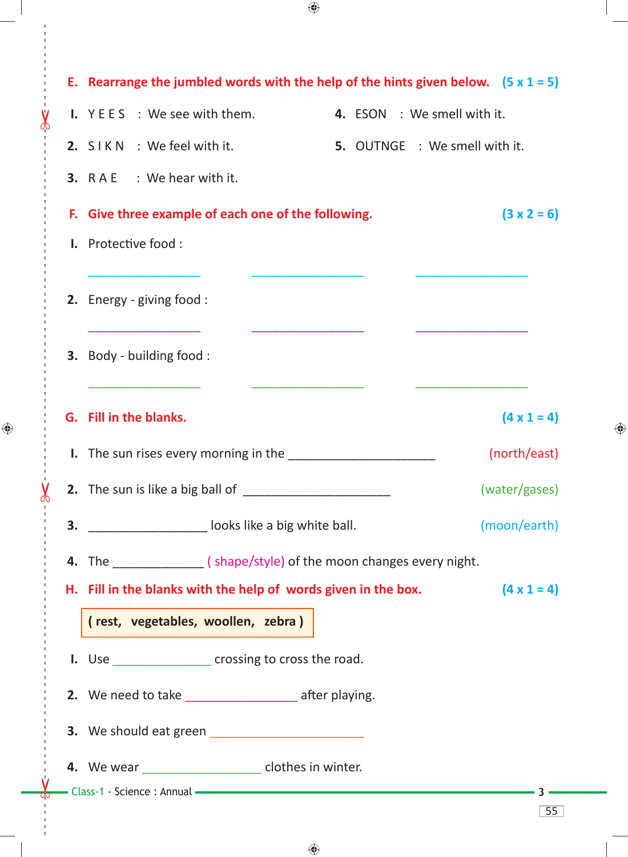**E. Rearrange the jumbled words with the help of the hints given below. (5 x 1 = 5) I.** Y E E S : We see with them. **4.** ESON : We smell with it.  **2.** S I K N : We feel with it. **5.** OUTNGE : We smell with it.  **3.** R A E : We hear with it. **F. Give three example of each one of the following. (3 x 2 = 6) I.** Protective food :  $\frac{1}{2}$  ,  $\frac{1}{2}$  ,  $\frac{1}{2}$  ,  $\frac{1}{2}$  ,  $\frac{1}{2}$  ,  $\frac{1}{2}$  ,  $\frac{1}{2}$  ,  $\frac{1}{2}$  ,  $\frac{1}{2}$  ,  $\frac{1}{2}$  ,  $\frac{1}{2}$  ,  $\frac{1}{2}$  ,  $\frac{1}{2}$  ,  $\frac{1}{2}$  ,  $\frac{1}{2}$  ,  $\frac{1}{2}$  ,  $\frac{1}{2}$  ,  $\frac{1}{2}$  ,  $\frac{1$  **2.** Energy - giving food :  $\overline{\phantom{a}}$  ,  $\overline{\phantom{a}}$  ,  $\overline{\phantom{a}}$  ,  $\overline{\phantom{a}}$  ,  $\overline{\phantom{a}}$  ,  $\overline{\phantom{a}}$  ,  $\overline{\phantom{a}}$  ,  $\overline{\phantom{a}}$  ,  $\overline{\phantom{a}}$  ,  $\overline{\phantom{a}}$  ,  $\overline{\phantom{a}}$  ,  $\overline{\phantom{a}}$  ,  $\overline{\phantom{a}}$  ,  $\overline{\phantom{a}}$  ,  $\overline{\phantom{a}}$  ,  $\overline{\phantom{a}}$  **3.** Body - building food :  $\overline{\phantom{a}}$  ,  $\overline{\phantom{a}}$  ,  $\overline{\phantom{a}}$  ,  $\overline{\phantom{a}}$  ,  $\overline{\phantom{a}}$  ,  $\overline{\phantom{a}}$  ,  $\overline{\phantom{a}}$  ,  $\overline{\phantom{a}}$  ,  $\overline{\phantom{a}}$  ,  $\overline{\phantom{a}}$  ,  $\overline{\phantom{a}}$  ,  $\overline{\phantom{a}}$  ,  $\overline{\phantom{a}}$  ,  $\overline{\phantom{a}}$  ,  $\overline{\phantom{a}}$  ,  $\overline{\phantom{a}}$ **G. Fill in the blanks.**  $(4 \times 1 = 4)$ **I.** The sun rises every morning in the \_\_\_\_\_\_\_\_\_\_\_\_\_\_\_\_\_\_\_\_\_\_\_\_\_\_\_\_\_\_\_\_\_\_(north/east) **2.** The sun is like a big ball of \_\_\_\_\_\_\_\_\_\_\_\_\_\_\_\_\_\_\_\_\_\_\_\_\_\_\_\_\_\_\_\_\_ (water/gases) **3.** \_\_\_\_\_\_\_\_\_\_\_\_\_\_\_\_\_\_\_\_ looks like a big white ball.  $\qquad (moon/earth)$  **4.** The \_\_\_\_\_\_\_\_\_\_\_\_\_ ( shape/style) of the moon changes every night. **H.** Fill in the blanks with the help of words given in the box.  $(4 \times 1 = 4)$  **( rest, vegetables, woollen, zebra ) I.** Use *Crossing to cross the road.* **2.** We need to take **2. a** after playing.  **3.** We should eat green \_\_\_\_\_\_\_\_\_\_\_\_\_\_\_\_\_\_\_\_\_\_  **4.** We wear \_\_\_\_\_\_\_\_\_\_\_\_\_\_\_\_\_ clothes in winter. Class-1 - Science : Annual **3** 55

 $\bigcirc$ 

------ - - --------------------------------------- --- -------------------------------------------------- ------------- -- - - ---

⊕

 $\bigoplus$